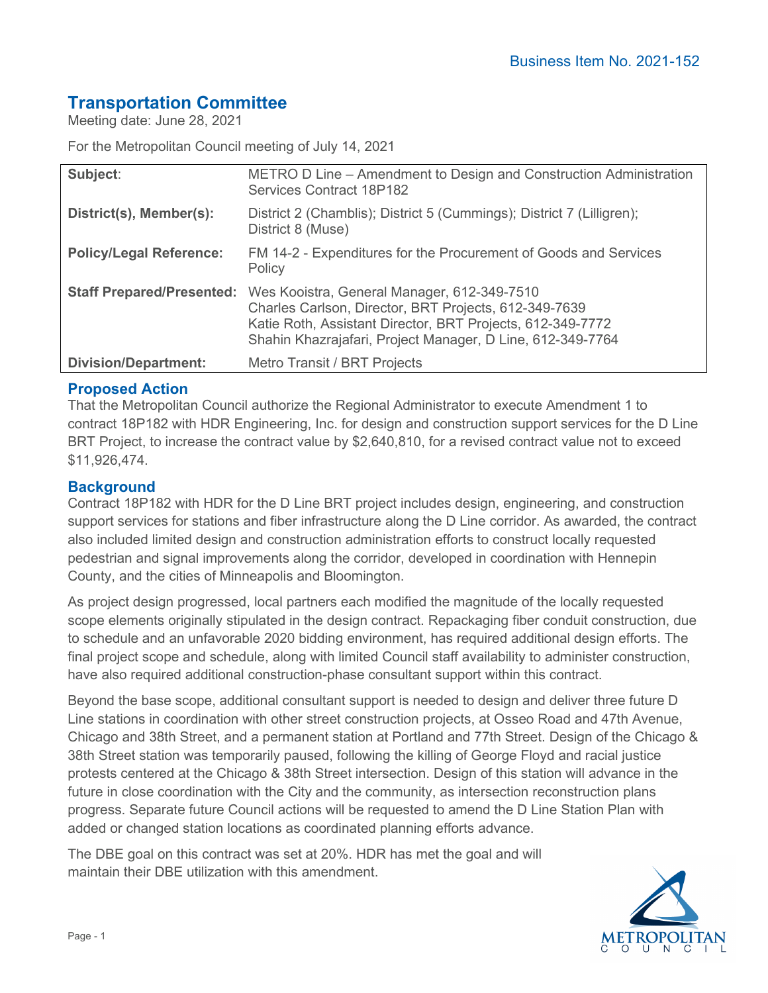# **Transportation Committee**

Meeting date: June 28, 2021

For the Metropolitan Council meeting of July 14, 2021

| Subject:                       | METRO D Line – Amendment to Design and Construction Administration<br><b>Services Contract 18P182</b>                                                                                                                                                      |
|--------------------------------|------------------------------------------------------------------------------------------------------------------------------------------------------------------------------------------------------------------------------------------------------------|
| District(s), Member(s):        | District 2 (Chamblis); District 5 (Cummings); District 7 (Lilligren);<br>District 8 (Muse)                                                                                                                                                                 |
| <b>Policy/Legal Reference:</b> | FM 14-2 - Expenditures for the Procurement of Goods and Services<br>Policy                                                                                                                                                                                 |
|                                | Staff Prepared/Presented: Wes Kooistra, General Manager, 612-349-7510<br>Charles Carlson, Director, BRT Projects, 612-349-7639<br>Katie Roth, Assistant Director, BRT Projects, 612-349-7772<br>Shahin Khazrajafari, Project Manager, D Line, 612-349-7764 |
| <b>Division/Department:</b>    | Metro Transit / BRT Projects                                                                                                                                                                                                                               |

## **Proposed Action**

That the Metropolitan Council authorize the Regional Administrator to execute Amendment 1 to contract 18P182 with HDR Engineering, Inc. for design and construction support services for the D Line BRT Project, to increase the contract value by \$2,640,810, for a revised contract value not to exceed \$11,926,474.

## **Background**

Contract 18P182 with HDR for the D Line BRT project includes design, engineering, and construction support services for stations and fiber infrastructure along the D Line corridor. As awarded, the contract also included limited design and construction administration efforts to construct locally requested pedestrian and signal improvements along the corridor, developed in coordination with Hennepin County, and the cities of Minneapolis and Bloomington.

As project design progressed, local partners each modified the magnitude of the locally requested scope elements originally stipulated in the design contract. Repackaging fiber conduit construction, due to schedule and an unfavorable 2020 bidding environment, has required additional design efforts. The final project scope and schedule, along with limited Council staff availability to administer construction, have also required additional construction-phase consultant support within this contract.

Beyond the base scope, additional consultant support is needed to design and deliver three future D Line stations in coordination with other street construction projects, at Osseo Road and 47th Avenue, Chicago and 38th Street, and a permanent station at Portland and 77th Street. Design of the Chicago & 38th Street station was temporarily paused, following the killing of George Floyd and racial justice protests centered at the Chicago & 38th Street intersection. Design of this station will advance in the future in close coordination with the City and the community, as intersection reconstruction plans progress. Separate future Council actions will be requested to amend the D Line Station Plan with added or changed station locations as coordinated planning efforts advance.

The DBE goal on this contract was set at 20%. HDR has met the goal and will maintain their DBE utilization with this amendment.